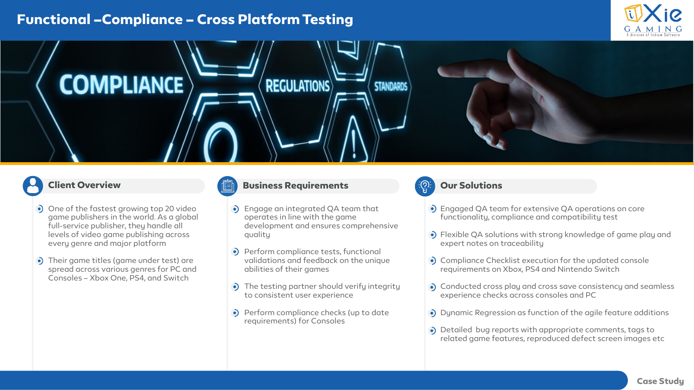# **Functional –Compliance – Cross Platform Testing**





## **Client Overview**

- One of the fastest growing top 20 video game publishers in the world. As a global full-service publisher, they handle all levels of video game publishing across every genre and major platform
- Their game titles (game under test) are spread across various genres for PC and Consoles – Xbox One, PS4, and Switch

### **Business Requirements**

- Engage an integrated QA team that operates in line with the game development and ensures comprehensive quality
- **Perform compliance tests, functional** validations and feedback on the unique abilities of their games
- The testing partner should verify integrity to consistent user experience
- Perform compliance checks (up to date requirements) for Consoles

## **Our Solutions**

- Engaged QA team for extensive QA operations on core functionality, compliance and compatibility test
- Flexible QA solutions with strong knowledge of game play and expert notes on traceability
- Compliance Checklist execution for the updated console requirements on Xbox, PS4 and Nintendo Switch
- Conducted cross play and cross save consistency and seamless experience checks across consoles and PC
- Dynamic Regression as function of the agile feature additions
- Detailed bug reports with appropriate comments, tags to related game features, reproduced defect screen images etc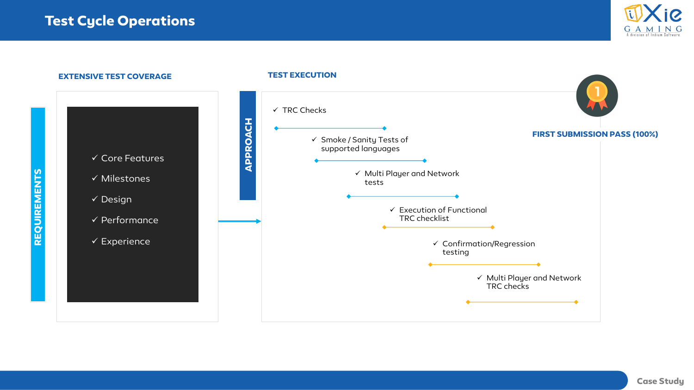



#### **Case Study**